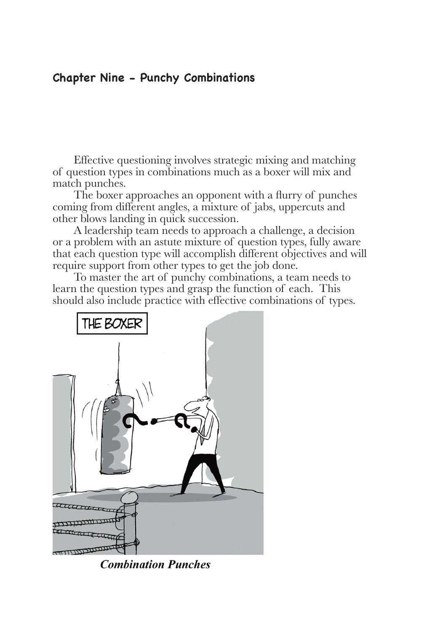### **Chapter Nine - Punchy Combinations**

Effective questioning involves strategic mixing and matching of question types in combinations much as a boxer will mix and match punches.

The boxer approaches an opponent with a flurry of punches coming from different angles, a mixture of jabs, uppercuts and other blows landing in quick succession.

A leadership team needs to approach a challenge, a decision or a problem with an astute mixture of question types, fully aware that each question type will accomplish different objectives and will require support from other types to get the job done.

To master the art of punchy combinations, a team needs to learn the question types and grasp the function of each. This should also include practice with effective combinations of types.



**Combination Punches**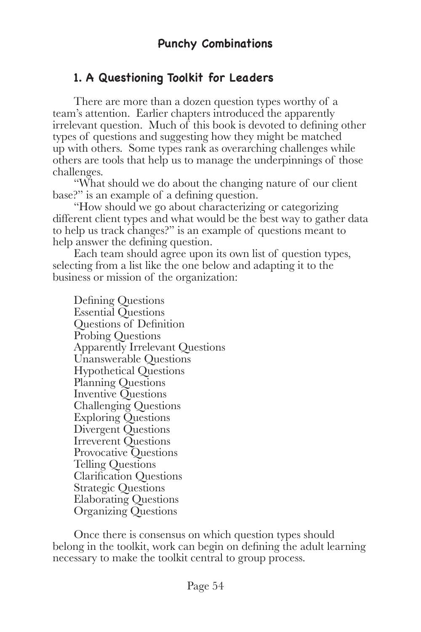## **1. A Questioning Toolkit for Leaders**

There are more than a dozen question types worthy of a team's attention. Earlier chapters introduced the apparently irrelevant question. Much of this book is devoted to defining other types of questions and suggesting how they might be matched up with others. Some types rank as overarching challenges while others are tools that help us to manage the underpinnings of those challenges.

"What should we do about the changing nature of our client base?" is an example of a defining question.

"How should we go about characterizing or categorizing different client types and what would be the best way to gather data to help us track changes?" is an example of questions meant to help answer the defining question.

Each team should agree upon its own list of question types, selecting from a list like the one below and adapting it to the business or mission of the organization:

Defining Questions Essential Questions Questions of Definition Probing Questions Apparently Irrelevant Questions Unanswerable Questions Hypothetical Questions Planning Questions Inventive Questions Challenging Questions Exploring Questions Divergent Questions Irreverent Questions Provocative Questions Telling Questions Clarification Questions Strategic Questions Elaborating Questions Organizing Questions

Once there is consensus on which question types should belong in the toolkit, work can begin on defining the adult learning necessary to make the toolkit central to group process.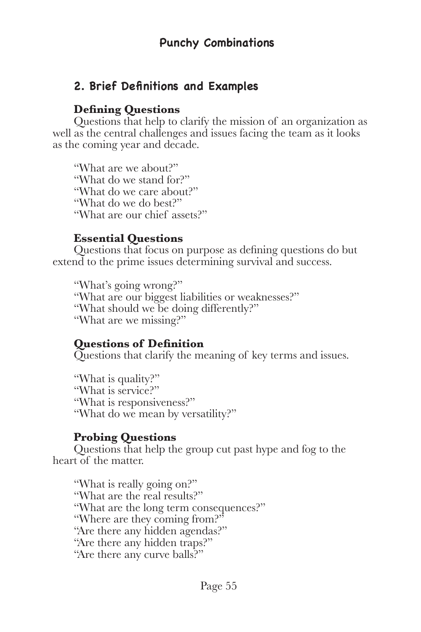## **2. Brief Definitions and Examples**

### **Defining Questions**

Questions that help to clarify the mission of an organization as well as the central challenges and issues facing the team as it looks as the coming year and decade.

"What are we about?" "What do we stand for?" "What do we care about?" "What do we do best?" "What are our chief assets?"

### **Essential Questions**

Questions that focus on purpose as defining questions do but extend to the prime issues determining survival and success.

"What's going wrong?" "What are our biggest liabilities or weaknesses?" "What should we be doing differently?" "What are we missing?"

## **Questions of Definition**

Questions that clarify the meaning of key terms and issues.

"What is quality?" "What is service?" "What is responsiveness?" "What do we mean by versatility?"

## **Probing Questions**

Questions that help the group cut past hype and fog to the heart of the matter.

"What is really going on?" "What are the real results?" "What are the long term consequences?" "Where are they coming from?" "Are there any hidden agendas?" "Are there any hidden traps?" "Are there any curve balls?"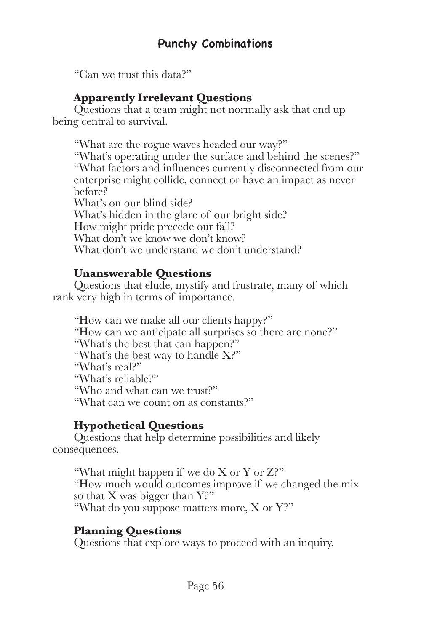"Can we trust this data?"

## **Apparently Irrelevant Questions**

Questions that a team might not normally ask that end up being central to survival.

"What are the rogue waves headed our way?" "What's operating under the surface and behind the scenes?" "What factors and influences currently disconnected from our enterprise might collide, connect or have an impact as never before? What's on our blind side? What's hidden in the glare of our bright side? How might pride precede our fall? What don't we know we don't know? What don't we understand we don't understand?

## **Unanswerable Questions**

Questions that elude, mystify and frustrate, many of which rank very high in terms of importance.

"How can we make all our clients happy?" "How can we anticipate all surprises so there are none?" "What's the best that can happen?" "What's the best way to handle X?" "What's real?" "What's reliable?" "Who and what can we trust?" "What can we count on as constants?"

## **Hypothetical Questions**

Questions that help determine possibilities and likely consequences.

"What might happen if we do X or Y or Z?" "How much would outcomes improve if we changed the mix so that X was bigger than Y?" "What do you suppose matters more, X or Y?"

## **Planning Questions**

Questions that explore ways to proceed with an inquiry.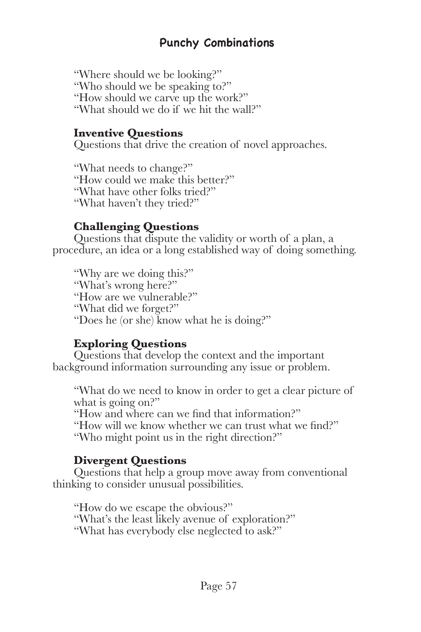## **Punchy Combinations**

"Where should we be looking?" "Who should we be speaking to?" "How should we carve up the work?" "What should we do if we hit the wall?"

#### **Inventive Questions**

Questions that drive the creation of novel approaches.

"What needs to change?" "How could we make this better?" "What have other folks tried?" "What haven't they tried?"

#### **Challenging Questions**

Questions that dispute the validity or worth of a plan, a procedure, an idea or a long established way of doing something.

"Why are we doing this?" "What's wrong here?" "How are we vulnerable?" "What did we forget?" "Does he (or she) know what he is doing?"

### **Exploring Questions**

Questions that develop the context and the important background information surrounding any issue or problem.

"What do we need to know in order to get a clear picture of what is going on?" "How and where can we find that information?" "How will we know whether we can trust what we find?" "Who might point us in the right direction?"

### **Divergent Questions**

Questions that help a group move away from conventional thinking to consider unusual possibilities.

"How do we escape the obvious?" "What's the least likely avenue of exploration?" "What has everybody else neglected to ask?"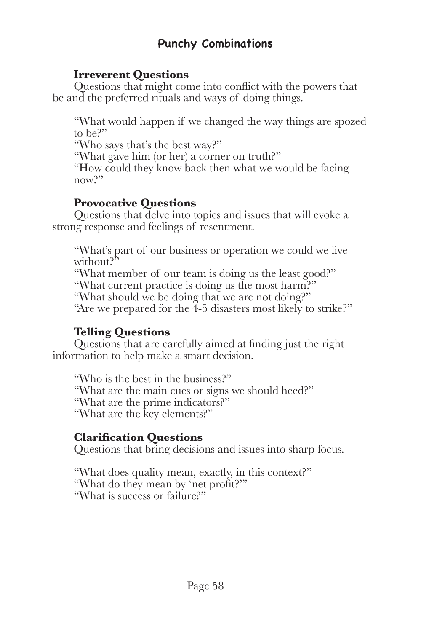# **Punchy Combinations**

### **Irreverent Questions**

Questions that might come into conflict with the powers that be and the preferred rituals and ways of doing things.

"What would happen if we changed the way things are spozed to be?"

"Who says that's the best way?"

"What gave him (or her) a corner on truth?"

"How could they know back then what we would be facing now?"

### **Provocative Questions**

Questions that delve into topics and issues that will evoke a strong response and feelings of resentment.

"What's part of our business or operation we could we live without?"

"What member of our team is doing us the least good?" "What current practice is doing us the most harm?"

"What should we be doing that we are not doing?"

"Are we prepared for the  $\overline{4}$ -5 disasters most likely to strike?"

## **Telling Questions**

Questions that are carefully aimed at finding just the right information to help make a smart decision.

"Who is the best in the business?" "What are the main cues or signs we should heed?" "What are the prime indicators?" "What are the key elements?"

## **Clarification Questions**

Questions that bring decisions and issues into sharp focus.

"What does quality mean, exactly, in this context?" "What do they mean by 'net profit?'" "What is success or failure?"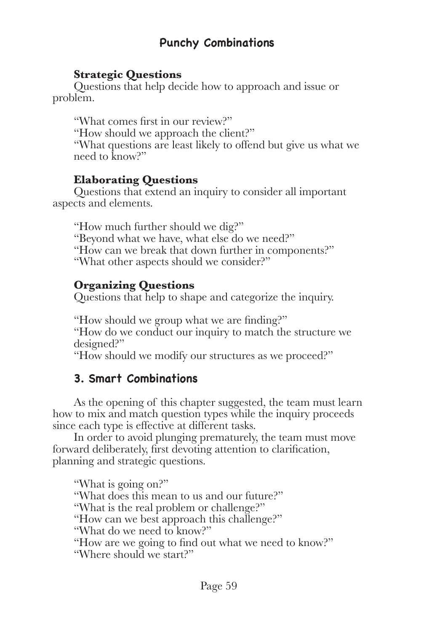## **Punchy Combinations**

#### **Strategic Questions**

Questions that help decide how to approach and issue or problem.

"What comes first in our review?" "How should we approach the client?" "What questions are least likely to offend but give us what we need to know?"

### **Elaborating Questions**

Questions that extend an inquiry to consider all important aspects and elements.

"How much further should we dig?" "Beyond what we have, what else do we need?" "How can we break that down further in components?" "What other aspects should we consider?"

### **Organizing Questions**

Questions that help to shape and categorize the inquiry.

"How should we group what we are finding?" "How do we conduct our inquiry to match the structure we designed?"

"How should we modify our structures as we proceed?"

# **3. Smart Combinations**

As the opening of this chapter suggested, the team must learn how to mix and match question types while the inquiry proceeds since each type is effective at different tasks.

In order to avoid plunging prematurely, the team must move forward deliberately, first devoting attention to clarification, planning and strategic questions.

"What is going on?" "What does this mean to us and our future?" "What is the real problem or challenge?" "How can we best approach this challenge?" "What do we need to know?" "How are we going to find out what we need to know?" "Where should we start?"